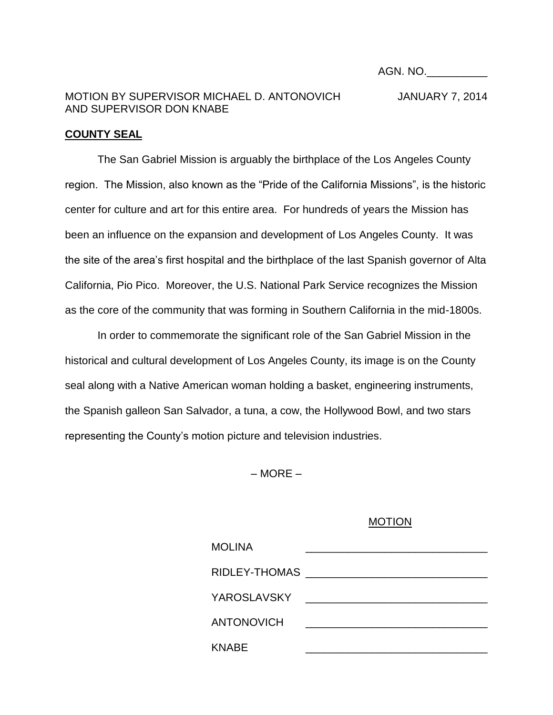AGN. NO.\_\_\_\_\_\_\_\_\_\_

## MOTION BY SUPERVISOR MICHAEL D. ANTONOVICH JANUARY 7, 2014 AND SUPERVISOR DON KNABE

## **COUNTY SEAL**

The San Gabriel Mission is arguably the birthplace of the Los Angeles County region. The Mission, also known as the "Pride of the California Missions", is the historic center for culture and art for this entire area. For hundreds of years the Mission has been an influence on the expansion and development of Los Angeles County. It was the site of the area's first hospital and the birthplace of the last Spanish governor of Alta California, Pio Pico. Moreover, the U.S. National Park Service recognizes the Mission as the core of the community that was forming in Southern California in the mid-1800s.

In order to commemorate the significant role of the San Gabriel Mission in the historical and cultural development of Los Angeles County, its image is on the County seal along with a Native American woman holding a basket, engineering instruments, the Spanish galleon San Salvador, a tuna, a cow, the Hollywood Bowl, and two stars representing the County's motion picture and television industries.

– MORE –

## MOTION

| <b>MOLINA</b>     |  |
|-------------------|--|
| RIDLEY-THOMAS     |  |
| YAROSLAVSKY       |  |
| <b>ANTONOVICH</b> |  |
| <b>KNABE</b>      |  |